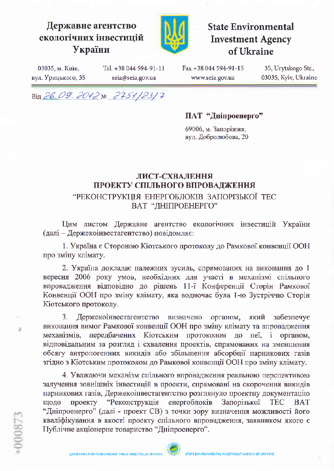



**State Environmental Investment Agency** of Ukraine

03035, м. Київ, вул. Урицького, 35 Tel. +38 044 594-91-11 seia@seia.gov.ua

Fax +38 044 594-91-15 www.seia.gov.ua

35, Urytskogo Str., 03035, Kyiv, Ukraine

Від 26.09.2012№ 2751/23/7

ПАТ "Дніпроенерго"

69006, м. Запоріжжя, вул. Добролюбова, 20

## ЛИСТ-СХВАЛЕННЯ ПРОЕКТУ СПІЛЬНОГО ВПРОВАДЖЕННЯ "РЕКОНСТРУКЦІЯ ЕНЕРГОБЛОКІВ ЗАПОРІЗЬКОЇ ТЕС ВАТ "ДНІПРОЕНЕРГО"

Цим листом Державне агентство екологічних інвестицій України (далі - Держекоінвестагентство) повідомляє:

1. Україна є Стороною Кіотського протоколу до Рамкової конвенції ООН про зміну клімату.

2. Україна докладає належних зусиль, спрямованих на виконання до 1 вересня 2006 року умов, необхідних для участі в механізмі спільного впровадження відповідно до рішень 11-ї Конференції Сторін Рамкової Конвенції ООН про зміну клімату, яка водночас була 1-ю Зустріччю Сторін Кіотського протоколу.

3. Держекоінвестагентство визначено органом, який забезпечує виконання вимог Рамкової конвенції ООН про зміну клімату та впровадження механізмів, передбачених Кіотським протоколом до неї, і органом, відповідальним за розгляд і схвалення проектів, спрямованих на зменшення обсягу антропогенних викидів або збільшення абсорбції парникових газів згідно з Кіотським протоколом до Рамкової конвенції ООН про зміну клімату.

4. Уважаючи механізм спільного впровадження реальною перспективою залучення зовнішніх інвестицій в проекти, спрямовані на скорочення викидів парникових газів, Держекоінвестагентство розглянуло проектну документацію проекту "Реконструкція енергоблоків Запорізької **BAT** ШОЛО **TEC** "Дніпроенерго" (далі - проект СВ) з точки зору визначення можливості його кваліфікування в якості проекту спільного впровадження, заявником якого є Публічне акціонерне товариство "Дніпроенерго".

u